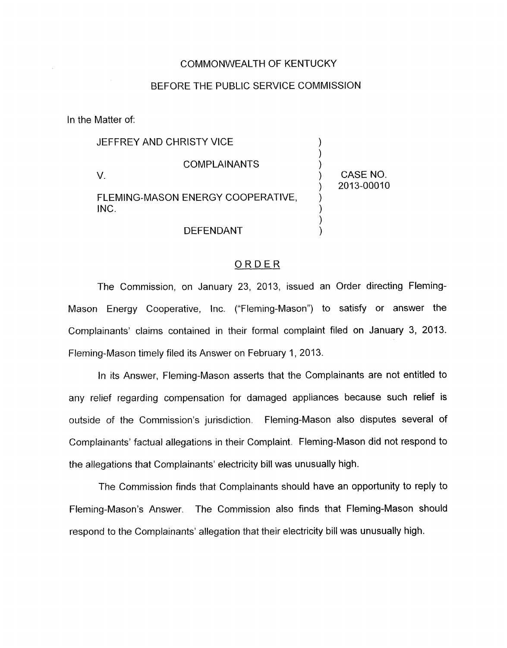## COMMONWEALTH OF KENTUCKY

## BEFORE THE. PUBLIC SERVICE COMMISSION

In the Matter of:

 $\mathcal{L}_{\rm{in}}$ 

| JEFFREY AND CHRISTY VICE                  |            |
|-------------------------------------------|------------|
| <b>COMPLAINANTS</b>                       | CASE NO.   |
| FLEMING-MASON ENERGY COOPERATIVE,<br>INC. | 2013-00010 |
| <b>DEFENDANT</b>                          |            |

## ORDER

The Commission, on January 23, 2013, issued an Order directing Fleming-Mason Energy Cooperative, Inc. ("Fleming-Mason") to satisfy or answer the Complainants' claims contained in their formal complaint filed on January 3, 2013. Fleming-Mason timely filed its Answer on February 1, 2013.

In its Answer, Fleming-Mason asserts that the Complainants are not entitled to any relief regarding compensation for damaged appliances because such relief is outside of the Commission's jurisdiction. Fleming-Mason also disputes several of Complainants' factual allegations in their Complaint. Fleming-Mason did not respond to the allegations that Complainants' electricity bill was unusually high.

The Commission finds that Complainants should have an opportunity to reply to Fleming-Mason's Answer. The Commission also finds that Fleming-Mason should respond to the Complainants' allegation that their electricity bill was unusually high.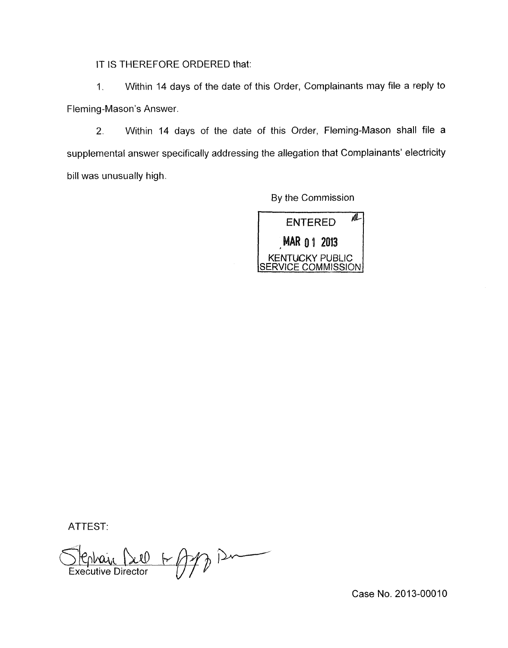IT IS THEREFORE ORDERED that:

1. Within 14 days of the date of this Order, Complainants may file a reply to Fleming-Mason's Answer.

2. Within 14 days of the date of this Order, Fleming-Mason shall file a supplemental answer specifically addressing the allegation that Complainants' electricity hill was unusually high.

By the Commission



ATTEST:

Stephain 120 to 177 Pm

Case No. 2013-00010